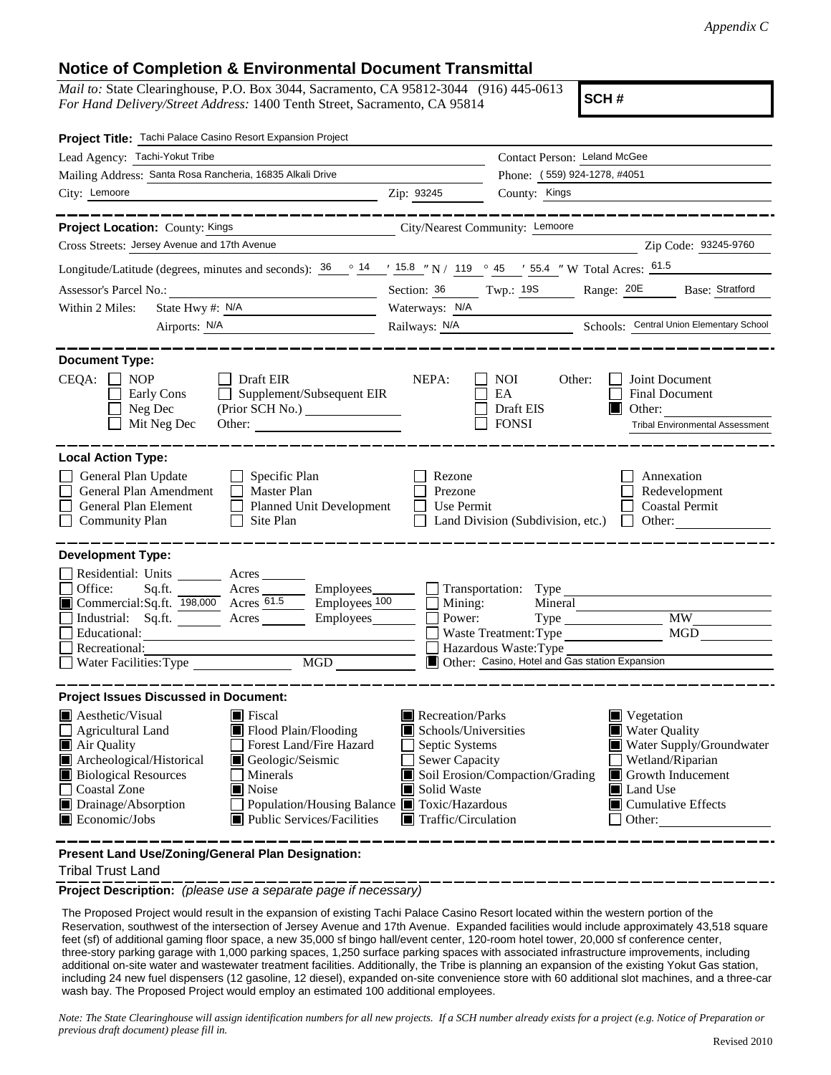## **Notice of Completion & Environmental Document Transmittal**

*Mail to:* State Clearinghouse, P.O. Box 3044, Sacramento, CA 95812-3044 (916) 445-0613 *For Hand Delivery/Street Address:* 1400 Tenth Street, Sacramento, CA 95814

**SCH #**

| Project Title: Tachi Palace Casino Resort Expansion Project                                                                                                                                                                                                                                                                                                                                                                           |                                                                                                                                                                                  |                                                                                                                                     |                                                                                                                                                                    |  |  |
|---------------------------------------------------------------------------------------------------------------------------------------------------------------------------------------------------------------------------------------------------------------------------------------------------------------------------------------------------------------------------------------------------------------------------------------|----------------------------------------------------------------------------------------------------------------------------------------------------------------------------------|-------------------------------------------------------------------------------------------------------------------------------------|--------------------------------------------------------------------------------------------------------------------------------------------------------------------|--|--|
| Lead Agency: Tachi-Yokut Tribe                                                                                                                                                                                                                                                                                                                                                                                                        |                                                                                                                                                                                  | Contact Person: Leland McGee                                                                                                        |                                                                                                                                                                    |  |  |
| Mailing Address: Santa Rosa Rancheria, 16835 Alkali Drive                                                                                                                                                                                                                                                                                                                                                                             | Phone: (559) 924-1278, #4051                                                                                                                                                     |                                                                                                                                     |                                                                                                                                                                    |  |  |
| City: Lemoore                                                                                                                                                                                                                                                                                                                                                                                                                         | County: Kings<br>Zip: 93245                                                                                                                                                      |                                                                                                                                     |                                                                                                                                                                    |  |  |
|                                                                                                                                                                                                                                                                                                                                                                                                                                       |                                                                                                                                                                                  |                                                                                                                                     |                                                                                                                                                                    |  |  |
| Project Location: County: Kings<br>City/Nearest Community: Lemoore                                                                                                                                                                                                                                                                                                                                                                    |                                                                                                                                                                                  |                                                                                                                                     |                                                                                                                                                                    |  |  |
| Cross Streets: Jersey Avenue and 17th Avenue                                                                                                                                                                                                                                                                                                                                                                                          |                                                                                                                                                                                  |                                                                                                                                     | Zip Code: 93245-9760                                                                                                                                               |  |  |
| Longitude/Latitude (degrees, minutes and seconds): $\frac{36}{14}$ $\frac{14}{15.8}$ "N / 119 ° 45 ′ 55.4 "W Total Acres: $\frac{61.5}{15.8}$                                                                                                                                                                                                                                                                                         |                                                                                                                                                                                  |                                                                                                                                     |                                                                                                                                                                    |  |  |
| Assessor's Parcel No.:<br><u> 1989 - Johann Barbara, martxa alemaniar a</u>                                                                                                                                                                                                                                                                                                                                                           | Section: 36 Twp.: 19S<br>Range: 20E<br>Base: Stratford                                                                                                                           |                                                                                                                                     |                                                                                                                                                                    |  |  |
| State Hwy #: N/A<br>Within 2 Miles:                                                                                                                                                                                                                                                                                                                                                                                                   | Waterways: N/A                                                                                                                                                                   |                                                                                                                                     |                                                                                                                                                                    |  |  |
| Airports: <u>N/A</u>                                                                                                                                                                                                                                                                                                                                                                                                                  | Railways: N/A Schools: Central Union Elementary School                                                                                                                           |                                                                                                                                     |                                                                                                                                                                    |  |  |
| <b>Document Type:</b><br>$CEQA: \Box$<br><b>NOP</b><br>Draft EIR<br>Supplement/Subsequent EIR<br>Early Cons<br>Neg Dec<br>(Prior SCH No.)<br>Mit Neg Dec                                                                                                                                                                                                                                                                              | NEPA:                                                                                                                                                                            | <b>NOI</b><br>Other:<br>EA<br>Draft EIS<br><b>FONSI</b>                                                                             | Joint Document<br><b>Final Document</b><br>Other:<br><b>Tribal Environmental Assessment</b>                                                                        |  |  |
| <b>Local Action Type:</b><br>General Plan Update<br>Specific Plan<br>General Plan Amendment<br>Master Plan<br>$\perp$<br><b>General Plan Element</b><br>Planned Unit Development<br><b>Community Plan</b><br>Site Plan<br><b>Development Type:</b>                                                                                                                                                                                    | Rezone<br>Prezone<br>Use Permit                                                                                                                                                  | Land Division (Subdivision, etc.)                                                                                                   | Annexation<br>Redevelopment<br><b>Coastal Permit</b><br>Other:                                                                                                     |  |  |
| Residential: Units Acres<br>Acres Employees<br>Office:<br>Sq.ft.<br>Commercial:Sq.ft. 198,000 Acres 61.5<br>$\equiv$ Employees $100$<br>Industrial: Sq.ft.<br>Employees_______<br>Educational:<br>Recreational:<br>MGD<br>Water Facilities: Type                                                                                                                                                                                      | Mining:<br>Power:                                                                                                                                                                | Transportation: Type<br>Mineral<br>Waste Treatment: Type<br>Hazardous Waste: Type<br>Other: Casino, Hotel and Gas station Expansion | <b>MW</b><br>MGD                                                                                                                                                   |  |  |
| <b>Project Issues Discussed in Document:</b>                                                                                                                                                                                                                                                                                                                                                                                          |                                                                                                                                                                                  |                                                                                                                                     |                                                                                                                                                                    |  |  |
| $\blacksquare$ Aesthetic/Visual<br>$\blacksquare$ Fiscal<br>Flood Plain/Flooding<br><b>Agricultural Land</b><br>Forest Land/Fire Hazard<br>Air Quality<br>Archeological/Historical<br>Geologic/Seismic<br><b>Biological Resources</b><br>Minerals<br><b>Coastal Zone</b><br>$\blacksquare$ Noise<br>Drainage/Absorption<br>Population/Housing Balance ■ Toxic/Hazardous<br>Public Services/Facilities<br>$\blacksquare$ Economic/Jobs | Recreation/Parks<br>Schools/Universities<br>Septic Systems<br><b>Sewer Capacity</b><br>Soil Erosion/Compaction/Grading<br>Solid Waste<br>ш<br>$\blacksquare$ Traffic/Circulation |                                                                                                                                     | $\blacksquare$ Vegetation<br>Water Quality<br>Water Supply/Groundwater<br>Wetland/Riparian<br>Growth Inducement<br>Land Use<br>$\Box$ Cumulative Effects<br>Other: |  |  |

**Present Land Use/Zoning/General Plan Designation:**

Tribal Trust Land

**Project Description:** *(please use a separate page if necessary)*

 The Proposed Project would result in the expansion of existing Tachi Palace Casino Resort located within the western portion of the Reservation, southwest of the intersection of Jersey Avenue and 17th Avenue. Expanded facilities would include approximately 43,518 square feet (sf) of additional gaming floor space, a new 35,000 sf bingo hall/event center, 120-room hotel tower, 20,000 sf conference center, three-story parking garage with 1,000 parking spaces, 1,250 surface parking spaces with associated infrastructure improvements, including additional on-site water and wastewater treatment facilities. Additionally, the Tribe is planning an expansion of the existing Yokut Gas station, including 24 new fuel dispensers (12 gasoline, 12 diesel), expanded on-site convenience store with 60 additional slot machines, and a three-car wash bay. The Proposed Project would employ an estimated 100 additional employees.

*Note: The State Clearinghouse will assign identification numbers for all new projects. If a SCH number already exists for a project (e.g. Notice of Preparation or previous draft document) please fill in.*